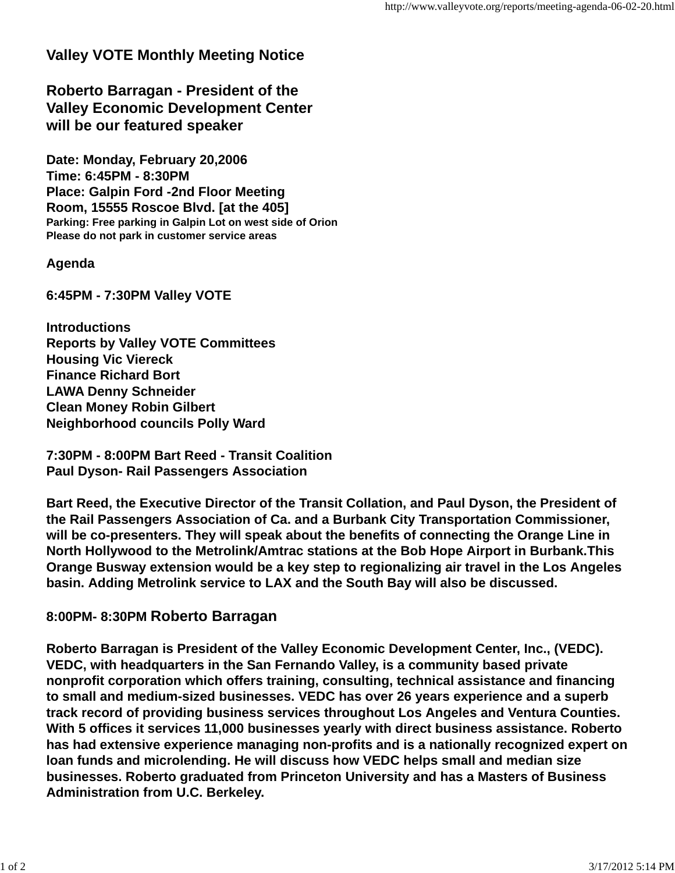## **Valley VOTE Monthly Meeting Notice**

**Roberto Barragan - President of the Valley Economic Development Center will be our featured speaker**

**Date: Monday, February 20,2006 Time: 6:45PM - 8:30PM Place: Galpin Ford -2nd Floor Meeting Room, 15555 Roscoe Blvd. [at the 405] Parking: Free parking in Galpin Lot on west side of Orion Please do not park in customer service areas**

## **Agenda**

**6:45PM - 7:30PM Valley VOTE**

**Introductions Reports by Valley VOTE Committees Housing Vic Viereck Finance Richard Bort LAWA Denny Schneider Clean Money Robin Gilbert Neighborhood councils Polly Ward**

**7:30PM - 8:00PM Bart Reed - Transit Coalition Paul Dyson- Rail Passengers Association**

**Bart Reed, the Executive Director of the Transit Collation, and Paul Dyson, the President of the Rail Passengers Association of Ca. and a Burbank City Transportation Commissioner, will be co-presenters. They will speak about the benefits of connecting the Orange Line in North Hollywood to the Metrolink/Amtrac stations at the Bob Hope Airport in Burbank.This Orange Busway extension would be a key step to regionalizing air travel in the Los Angeles basin. Adding Metrolink service to LAX and the South Bay will also be discussed.**

## **8:00PM- 8:30PM Roberto Barragan**

**Roberto Barragan is President of the Valley Economic Development Center, Inc., (VEDC). VEDC, with headquarters in the San Fernando Valley, is a community based private nonprofit corporation which offers training, consulting, technical assistance and financing to small and medium-sized businesses. VEDC has over 26 years experience and a superb track record of providing business services throughout Los Angeles and Ventura Counties. With 5 offices it services 11,000 businesses yearly with direct business assistance. Roberto has had extensive experience managing non-profits and is a nationally recognized expert on loan funds and microlending. He will discuss how VEDC helps small and median size businesses. Roberto graduated from Princeton University and has a Masters of Business Administration from U.C. Berkeley.**